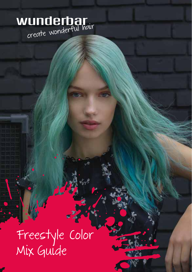# **Wunderbar**<br>create wonderful hair

Freestyle Color Mix Guide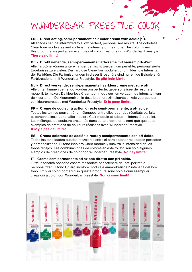### WUNDERBAR FREESTYLE COLOR

EN - Direct acting, semi-permanent hair color cream with acidic pH. All shades can be intermixed to allow perfect, personalised results. The colorless Clear tone modulates and softens the intensity of their tone. The color mixes in this brochure are just a few examples of color creations with Wunderbar Freestyle. There's no limit!

DE - Direktziehende, semi-permanente Farbcreme mit saurem pH-Wert. Alle Farbtöne können untereinander gemischt werden, um perfekte, personalisierte Ergebnisse zu erzielen. Der farblose Clear-Ton moduliert und mildert die Intensität der Farbtöne. Die Farbmischungen in dieser Broschüre sind nur einige Beispiele für Farbkreationen mit Wunderbar Freestyle. Es gibt kein Limit!

NL - Direct werkende, semi-permanente haarkleurcrème met zure pH. Alle tinten kunnen gemengd worden om perfecte, gepersonaliseerde resultaten mogelijk te maken. De kleurloze Clear toon moduleert en verzacht de intensiteit van de kleurtonen. De kleurenmixen in deze brochure zijn slechts enkele voorbeelden van kleurencreaties met Wunderbar Freestyle. Er is geen limiet!

FR - Crème de couleur à action directe semi-permanente, à pH acide. Toutes les teintes peuvent être mélangées entre elles pour des résultats parfaits et personnalisés. La tonalité incolore Clair module et adoucit l'intensité du reflet. Les mélanges de couleurs présentés dans cette brochure ne sont que quelques exemples de créations de couleurs réalisées avec Wunderbar Freestyle. Il n' y a pas de limite!

#### ES - Crema colorante de acción directa y semipermanente con pH ácido.

Todas las tonalidades pueden mezclarse entre sí para obtener resultados perfectos y personalizados. El tono incoloro Claro modula y suaviza la intensidad de los tonos reflejos. Las combinaciones de colores en este folleto son sólo algunos ejemplos de creaciones de color con Wunderbar Freestyle. No hay límite!

#### IT - Crema semipermanente ad azione diretta con pH acido.

Tutte le tonalità possono essere mescolate per ottenere risultati perfetti e personalizzati. Il tono Chiaro incolore modula e ammorbidisce l' intensità del loro tono. I mix di colori contenuti in questa brochure sono solo alcuni esempi di creazioni a colori con Wunderbar Freestyle. Non ci sono limiti!

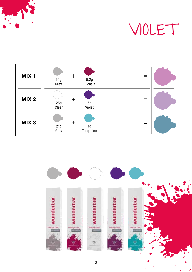



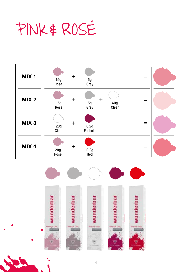PINK & ROSÉ



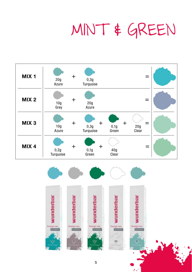# MINT & GREEN



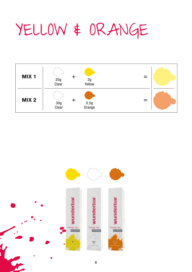## YELLOW & ORANGE



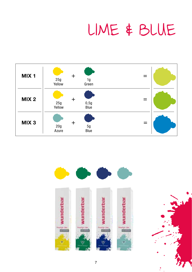### LIME & BLUE